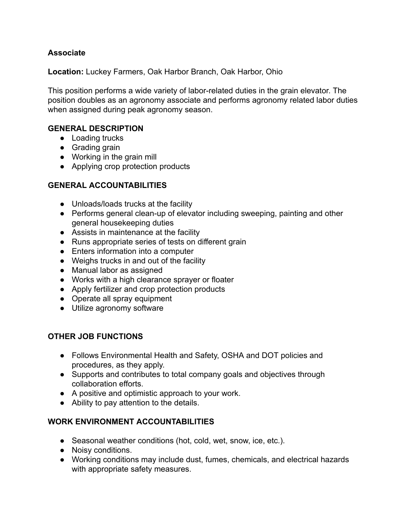## **Associate**

**Location:** Luckey Farmers, Oak Harbor Branch, Oak Harbor, Ohio

This position performs a wide variety of labor-related duties in the grain elevator. The position doubles as an agronomy associate and performs agronomy related labor duties when assigned during peak agronomy season.

### **GENERAL DESCRIPTION**

- Loading trucks
- Grading grain
- Working in the grain mill
- Applying crop protection products

#### **GENERAL ACCOUNTABILITIES**

- Unloads/loads trucks at the facility
- Performs general clean-up of elevator including sweeping, painting and other general housekeeping duties
- Assists in maintenance at the facility
- Runs appropriate series of tests on different grain
- Enters information into a computer
- Weighs trucks in and out of the facility
- Manual labor as assigned
- Works with a high clearance sprayer or floater
- Apply fertilizer and crop protection products
- Operate all spray equipment
- Utilize agronomy software

### **OTHER JOB FUNCTIONS**

- Follows Environmental Health and Safety, OSHA and DOT policies and procedures, as they apply.
- Supports and contributes to total company goals and objectives through collaboration efforts.
- A positive and optimistic approach to your work.
- Ability to pay attention to the details.

### **WORK ENVIRONMENT ACCOUNTABILITIES**

- Seasonal weather conditions (hot, cold, wet, snow, ice, etc.).
- Noisy conditions.
- Working conditions may include dust, fumes, chemicals, and electrical hazards with appropriate safety measures.